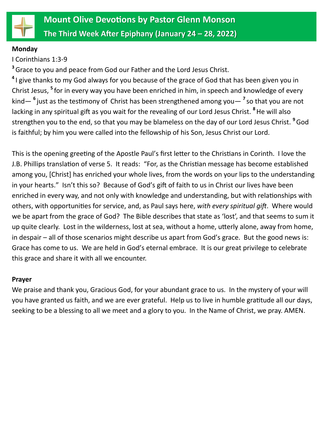

#### **Monday**

I Corinthians 1:3-9

**<sup>3</sup>**Grace to you and peace from God our Father and the Lord Jesus Christ.

**4** I give thanks to my God always for you because of the grace of God that has been given you in Christ Jesus, <sup>5</sup> for in every way you have been enriched in him, in speech and knowledge of every kind— **6** just as the testimony of Christ has been strengthened among you— **7** so that you are not lacking in any spiritual gift as you wait for the revealing of our Lord Jesus Christ. **<sup>8</sup>** He will also strengthen you to the end, so that you may be blameless on the day of our Lord Jesus Christ. **<sup>9</sup>**God is faithful; by him you were called into the fellowship of his Son, Jesus Christ our Lord.

This is the opening greeting of the Apostle Paul's first letter to the Christians in Corinth. I love the J.B. Phillips translation of verse 5. It reads: "For, as the Christian message has become established among you, [Christ] has enriched your whole lives, from the words on your lips to the understanding in your hearts." Isn't this so? Because of God's gift of faith to us in Christ our lives have been enriched in every way, and not only with knowledge and understanding, but with relationships with others, with opportunities for service, and, as Paul says here, *with every spiritual gift*. Where would we be apart from the grace of God? The Bible describes that state as 'lost', and that seems to sum it up quite clearly. Lost in the wilderness, lost at sea, without a home, utterly alone, away from home, in despair – all of those scenarios might describe us apart from God's grace. But the good news is: Grace has come to us. We are held in God's eternal embrace. It is our great privilege to celebrate this grace and share it with all we encounter.

### **Prayer**

We praise and thank you, Gracious God, for your abundant grace to us. In the mystery of your will you have granted us faith, and we are ever grateful. Help us to live in humble gratitude all our days, seeking to be a blessing to all we meet and a glory to you. In the Name of Christ, we pray. AMEN.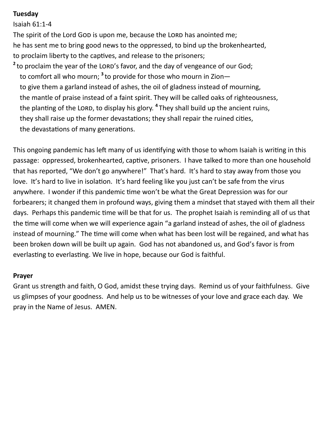### **Tuesday**

Isaiah 61:1-4 The spirit of the Lord GOD is upon me, because the LORD has anointed me; he has sent me to bring good news to the oppressed, to bind up the brokenhearted, to proclaim liberty to the captives, and release to the prisoners; <sup>2</sup> to proclaim the year of the LORD's favor, and the day of vengeance of our God; to comfort all who mourn; <sup>3</sup> to provide for those who mourn in Zion to give them a garland instead of ashes, the oil of gladness instead of mourning, the mantle of praise instead of a faint spirit. They will be called oaks of righteousness, the planting of the LORD, to display his glory. <sup>4</sup> They shall build up the ancient ruins, they shall raise up the former devastations; they shall repair the ruined cities, the devastations of many generations.

This ongoing pandemic has left many of us identifying with those to whom Isaiah is writing in this passage: oppressed, brokenhearted, captive, prisoners. I have talked to more than one household that has reported, "We don't go anywhere!" That's hard. It's hard to stay away from those you love. It's hard to live in isolation. It's hard feeling like you just can't be safe from the virus anywhere. I wonder if this pandemic time won't be what the Great Depression was for our forbearers; it changed them in profound ways, giving them a mindset that stayed with them all their days. Perhaps this pandemic time will be that for us. The prophet Isaiah is reminding all of us that the time will come when we will experience again "a garland instead of ashes, the oil of gladness instead of mourning." The time will come when what has been lost will be regained, and what has been broken down will be built up again. God has not abandoned us, and God's favor is from everlasting to everlasting. We live in hope, because our God is faithful.

### **Prayer**

Grant us strength and faith, O God, amidst these trying days. Remind us of your faithfulness. Give us glimpses of your goodness. And help us to be witnesses of your love and grace each day. We pray in the Name of Jesus. AMEN.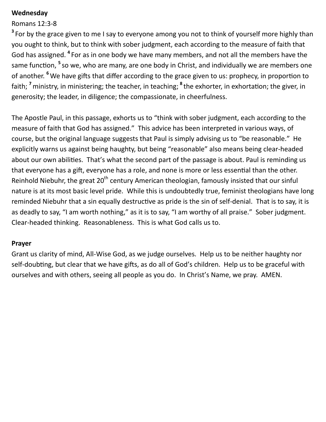#### **Wednesday**

### Romans 12:3-8

<sup>3</sup> For by the grace given to me I say to everyone among you not to think of yourself more highly than you ought to think, but to think with sober judgment, each according to the measure of faith that God has assigned. <sup>4</sup> For as in one body we have many members, and not all the members have the same function, <sup>5</sup> so we, who are many, are one body in Christ, and individually we are members one of another. **<sup>6</sup>** We have gifts that differ according to the grace given to us: prophecy, in proportion to faith; <sup>7</sup> ministry, in ministering; the teacher, in teaching; <sup>8</sup> the exhorter, in exhortation; the giver, in generosity; the leader, in diligence; the compassionate, in cheerfulness.

The Apostle Paul, in this passage, exhorts us to "think with sober judgment, each according to the measure of faith that God has assigned." This advice has been interpreted in various ways, of course, but the original language suggests that Paul is simply advising us to "be reasonable." He explicitly warns us against being haughty, but being "reasonable" also means being clear-headed about our own abilities. That's what the second part of the passage is about. Paul is reminding us that everyone has a gift, everyone has a role, and none is more or less essential than the other. Reinhold Niebuhr, the great  $20<sup>th</sup>$  century American theologian, famously insisted that our sinful nature is at its most basic level pride. While this is undoubtedly true, feminist theologians have long reminded Niebuhr that a sin equally destructive as pride is the sin of self-denial. That is to say, it is as deadly to say, "I am worth nothing," as it is to say, "I am worthy of all praise." Sober judgment. Clear-headed thinking. Reasonableness. This is what God calls us to.

### **Prayer**

Grant us clarity of mind, All-Wise God, as we judge ourselves. Help us to be neither haughty nor self-doubting, but clear that we have gifts, as do all of God's children. Help us to be graceful with ourselves and with others, seeing all people as you do. In Christ's Name, we pray. AMEN.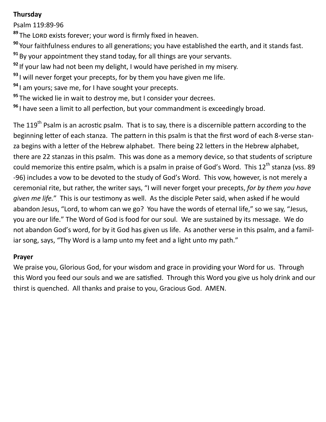# **Thursday**

Psalm 119:89-96

<sup>89</sup> The LORD exists forever; your word is firmly fixed in heaven.

**<sup>90</sup>** Your faithfulness endures to all generations; you have established the earth, and it stands fast.

- **<sup>91</sup>** By your appointment they stand today, for all things are your servants.
- **<sup>92</sup>** If your law had not been my delight, I would have perished in my misery.
- **<sup>93</sup>** I will never forget your precepts, for by them you have given me life.
- **<sup>94</sup>** I am yours; save me, for I have sought your precepts.
- **<sup>95</sup>** The wicked lie in wait to destroy me, but I consider your decrees.
- **<sup>96</sup>** I have seen a limit to all perfection, but your commandment is exceedingly broad.

The 119<sup>th</sup> Psalm is an acrostic psalm. That is to say, there is a discernible pattern according to the beginning letter of each stanza. The pattern in this psalm is that the first word of each 8-verse stanza begins with a letter of the Hebrew alphabet. There being 22 letters in the Hebrew alphabet, there are 22 stanzas in this psalm. This was done as a memory device, so that students of scripture could memorize this entire psalm, which is a psalm in praise of God's Word. This 12<sup>th</sup> stanza (vss. 89 -96) includes a vow to be devoted to the study of God's Word. This vow, however, is not merely a ceremonial rite, but rather, the writer says, "I will never forget your precepts, *for by them you have given me life.*" This is our testimony as well. As the disciple Peter said, when asked if he would abandon Jesus, "Lord, to whom can we go? You have the words of eternal life," so we say, "Jesus, you are our life." The Word of God is food for our soul. We are sustained by its message. We do not abandon God's word, for by it God has given us life. As another verse in this psalm, and a familiar song. says, "Thy Word is a lamp unto my feet and a light unto my path."

# **Prayer**

We praise you, Glorious God, for your wisdom and grace in providing your Word for us. Through this Word you feed our souls and we are satisfied. Through this Word you give us holy drink and our thirst is quenched. All thanks and praise to you, Gracious God. AMEN.